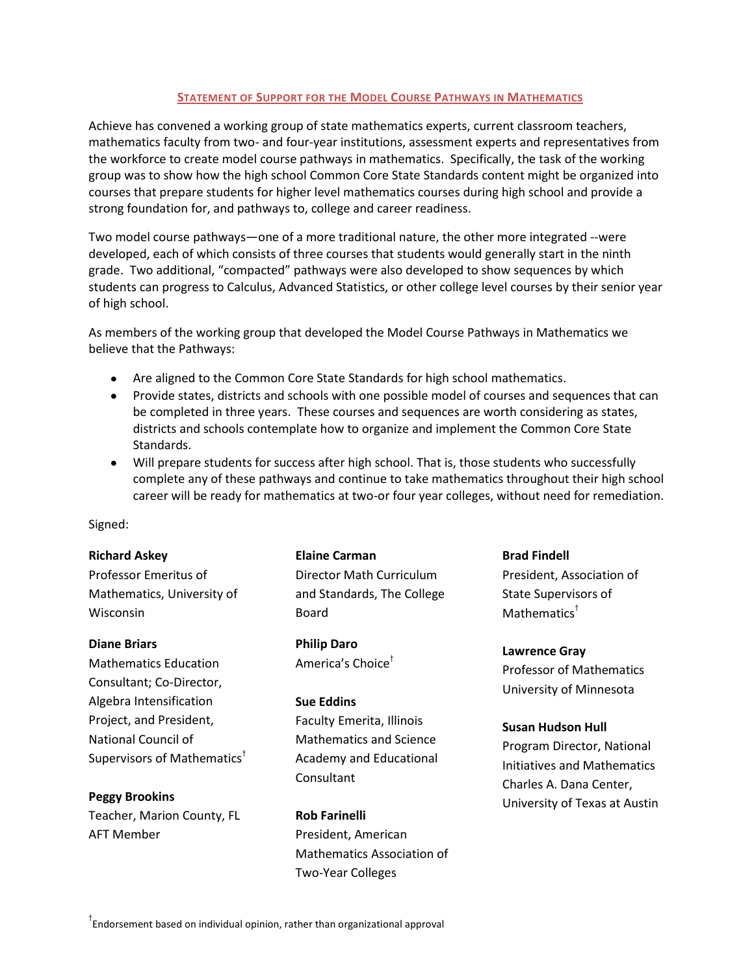### **STATEMENT OF SUPPORT FOR THE MODEL COURSE PATHWAYS IN MATHEMATICS**

Achieve has convened a working group of state mathematics experts, current classroom teachers, mathematics faculty from two- and four-year institutions, assessment experts and representatives from the workforce to create model course pathways in mathematics. Specifically, the task of the working group was to show how the high school Common Core State Standards content might be organized into courses that prepare students for higher level mathematics courses during high school and provide a strong foundation for, and pathways to, college and career readiness.

Two model course pathways—one of a more traditional nature, the other more integrated --were developed, each of which consists of three courses that students would generally start in the ninth grade. Two additional, "compacted" pathways were also developed to show sequences by which students can progress to Calculus, Advanced Statistics, or other college level courses by their senior year of high school.

As members of the working group that developed the Model Course Pathways in Mathematics we believe that the Pathways:

- Are aligned to the Common Core State Standards for high school mathematics.
- Provide states, districts and schools with one possible model of courses and sequences that can be completed in three years. These courses and sequences are worth considering as states, districts and schools contemplate how to organize and implement the Common Core State Standards.
- Will prepare students for success after high school. That is, those students who successfully complete any of these pathways and continue to take mathematics throughout their high school career will be ready for mathematics at two-or four year colleges, without need for remediation.

Signed:

### **Richard Askey**

Professor Emeritus of Mathematics, University of Wisconsin

### **Diane Briars**

Mathematics Education Consultant; Co-Director, Algebra Intensification Project, and President, National Council of Supervisors of Mathematics†

# **Peggy Brookins**

Teacher, Marion County, FL AFT Member

**Elaine Carman** Director Math Curriculum and Standards, The College Board

**Philip Daro** America's Choice†

### **Sue Eddins**

Faculty Emerita, Illinois Mathematics and Science Academy and Educational Consultant

**Rob Farinelli** President, American Mathematics Association of Two-Year Colleges

**Brad Findell** President, Association of State Supervisors of Mathematics<sup>†</sup>

**Lawrence Gray** Professor of Mathematics University of Minnesota

## **Susan Hudson Hull**

Program Director, National Initiatives and Mathematics Charles A. Dana Center, University of Texas at Austin